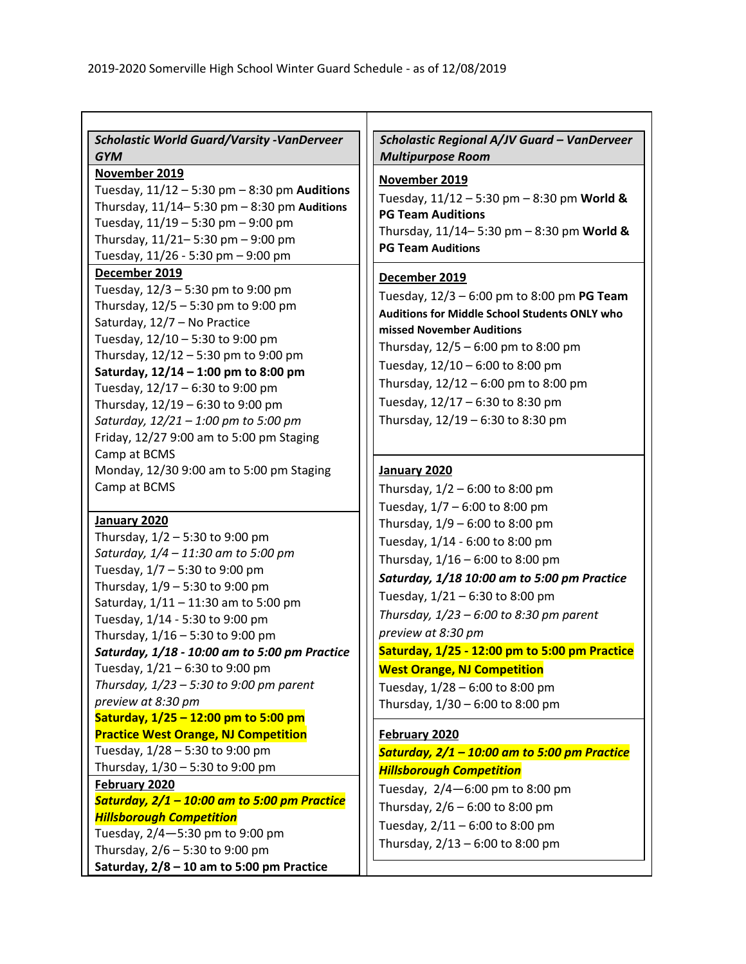| <b>Scholastic World Guard/Varsity -VanDerveer</b><br><b>GYM</b> | Scholastic Regional A/JV Guard - VanDerveer<br><b>Multipurpose Room</b> |
|-----------------------------------------------------------------|-------------------------------------------------------------------------|
| November 2019                                                   | November 2019                                                           |
| Tuesday, $11/12 - 5:30$ pm $- 8:30$ pm Auditions                | Tuesday, $11/12 - 5:30$ pm $- 8:30$ pm World &                          |
| Thursday, $11/14 - 5:30$ pm $- 8:30$ pm Auditions               | <b>PG Team Auditions</b>                                                |
| Tuesday, 11/19 - 5:30 pm - 9:00 pm                              | Thursday, $11/14 - 5:30$ pm $- 8:30$ pm World &                         |
| Thursday, 11/21-5:30 pm - 9:00 pm                               | <b>PG Team Auditions</b>                                                |
| Tuesday, 11/26 - 5:30 pm - 9:00 pm                              |                                                                         |
| December 2019                                                   | December 2019                                                           |
| Tuesday, 12/3 - 5:30 pm to 9:00 pm                              | Tuesday, $12/3 - 6:00$ pm to 8:00 pm PG Team                            |
| Thursday, 12/5 - 5:30 pm to 9:00 pm                             | Auditions for Middle School Students ONLY who                           |
| Saturday, 12/7 - No Practice                                    | missed November Auditions                                               |
| Tuesday, 12/10 - 5:30 to 9:00 pm                                | Thursday, $12/5 - 6:00$ pm to 8:00 pm                                   |
| Thursday, 12/12 - 5:30 pm to 9:00 pm                            |                                                                         |
| Saturday, 12/14 - 1:00 pm to 8:00 pm                            | Tuesday, 12/10 - 6:00 to 8:00 pm                                        |
| Tuesday, 12/17 - 6:30 to 9:00 pm                                | Thursday, 12/12 - 6:00 pm to 8:00 pm                                    |
| Thursday, 12/19 - 6:30 to 9:00 pm                               | Tuesday, 12/17 - 6:30 to 8:30 pm                                        |
| Saturday, 12/21 - 1:00 pm to 5:00 pm                            | Thursday, 12/19 - 6:30 to 8:30 pm                                       |
| Friday, 12/27 9:00 am to 5:00 pm Staging                        |                                                                         |
| Camp at BCMS                                                    |                                                                         |
| Monday, 12/30 9:00 am to 5:00 pm Staging                        | January 2020                                                            |
| Camp at BCMS                                                    | Thursday, $1/2 - 6:00$ to 8:00 pm                                       |
|                                                                 | Tuesday, 1/7 - 6:00 to 8:00 pm                                          |
| January 2020                                                    | Thursday, 1/9 - 6:00 to 8:00 pm                                         |
| Thursday, 1/2 - 5:30 to 9:00 pm                                 | Tuesday, 1/14 - 6:00 to 8:00 pm                                         |
| Saturday, 1/4 - 11:30 am to 5:00 pm                             | Thursday, 1/16 - 6:00 to 8:00 pm                                        |
| Tuesday, 1/7 - 5:30 to 9:00 pm                                  | Saturday, 1/18 10:00 am to 5:00 pm Practice                             |
| Thursday, 1/9 - 5:30 to 9:00 pm                                 | Tuesday, 1/21 - 6:30 to 8:00 pm                                         |
| Saturday, 1/11 - 11:30 am to 5:00 pm                            |                                                                         |
| Tuesday, 1/14 - 5:30 to 9:00 pm                                 | Thursday, $1/23 - 6:00$ to 8:30 pm parent                               |
| Thursday, 1/16 - 5:30 to 9:00 pm                                | preview at 8:30 pm                                                      |
| Saturday, 1/18 - 10:00 am to 5:00 pm Practice                   | Saturday, 1/25 - 12:00 pm to 5:00 pm Practice                           |
| Tuesday, 1/21 - 6:30 to 9:00 pm                                 | <b>West Orange, NJ Competition</b>                                      |
| Thursday, $1/23 - 5:30$ to 9:00 pm parent                       | Tuesday, 1/28 - 6:00 to 8:00 pm                                         |
| preview at 8:30 pm                                              | Thursday, 1/30 - 6:00 to 8:00 pm                                        |
| Saturday, 1/25 - 12:00 pm to 5:00 pm                            |                                                                         |
| <b>Practice West Orange, NJ Competition</b>                     | February 2020                                                           |
| Tuesday, 1/28 - 5:30 to 9:00 pm                                 | Saturday, 2/1 - 10:00 am to 5:00 pm Practice                            |
| Thursday, 1/30 - 5:30 to 9:00 pm                                | <b>Hillsborough Competition</b>                                         |
| February 2020                                                   | Tuesday, 2/4-6:00 pm to 8:00 pm                                         |
| Saturday, 2/1 - 10:00 am to 5:00 pm Practice                    | Thursday, 2/6 - 6:00 to 8:00 pm                                         |
| <b>Hillsborough Competition</b>                                 | Tuesday, 2/11 - 6:00 to 8:00 pm                                         |
| Tuesday, 2/4-5:30 pm to 9:00 pm                                 | Thursday, 2/13 - 6:00 to 8:00 pm                                        |
| Thursday, 2/6 - 5:30 to 9:00 pm                                 |                                                                         |
| Saturday, $2/8 - 10$ am to 5:00 pm Practice                     |                                                                         |